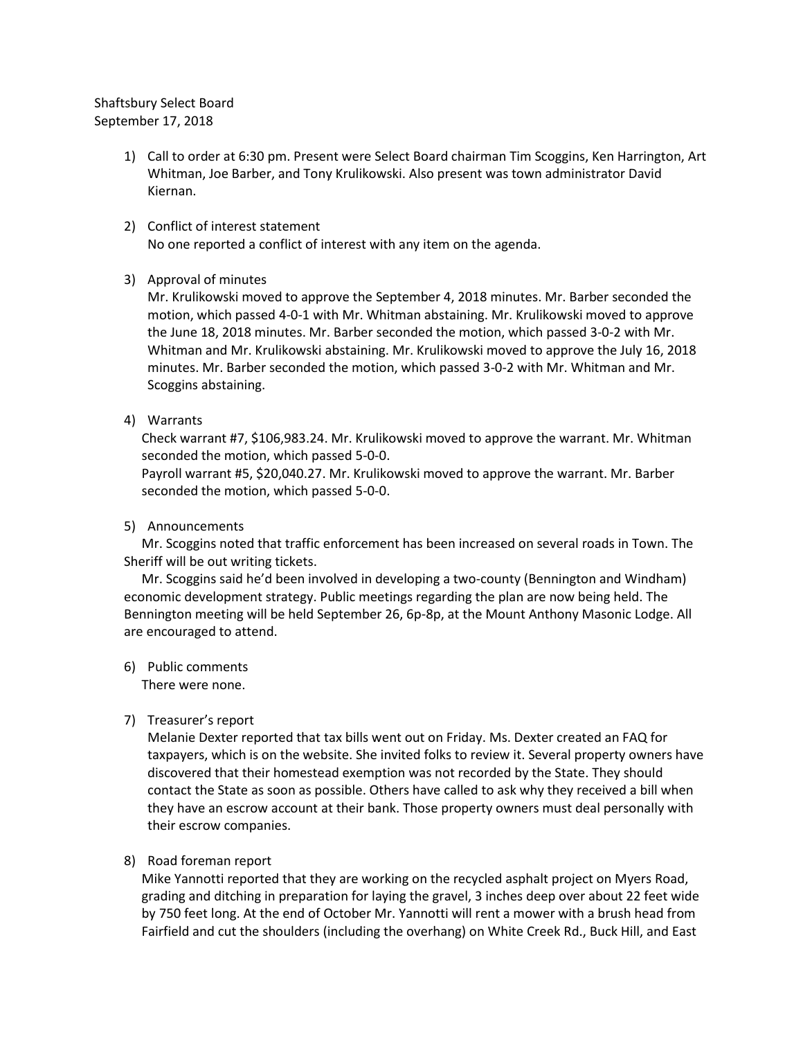## Shaftsbury Select Board September 17, 2018

- 1) Call to order at 6:30 pm. Present were Select Board chairman Tim Scoggins, Ken Harrington, Art Whitman, Joe Barber, and Tony Krulikowski. Also present was town administrator David Kiernan.
- 2) Conflict of interest statement No one reported a conflict of interest with any item on the agenda.
- 3) Approval of minutes

Mr. Krulikowski moved to approve the September 4, 2018 minutes. Mr. Barber seconded the motion, which passed 4-0-1 with Mr. Whitman abstaining. Mr. Krulikowski moved to approve the June 18, 2018 minutes. Mr. Barber seconded the motion, which passed 3-0-2 with Mr. Whitman and Mr. Krulikowski abstaining. Mr. Krulikowski moved to approve the July 16, 2018 minutes. Mr. Barber seconded the motion, which passed 3-0-2 with Mr. Whitman and Mr. Scoggins abstaining.

4) Warrants

Check warrant #7, \$106,983.24. Mr. Krulikowski moved to approve the warrant. Mr. Whitman seconded the motion, which passed 5-0-0.

Payroll warrant #5, \$20,040.27. Mr. Krulikowski moved to approve the warrant. Mr. Barber seconded the motion, which passed 5-0-0.

### 5) Announcements

Mr. Scoggins noted that traffic enforcement has been increased on several roads in Town. The Sheriff will be out writing tickets.

Mr. Scoggins said he'd been involved in developing a two-county (Bennington and Windham) economic development strategy. Public meetings regarding the plan are now being held. The Bennington meeting will be held September 26, 6p-8p, at the Mount Anthony Masonic Lodge. All are encouraged to attend.

6) Public comments There were none.

# 7) Treasurer's report

Melanie Dexter reported that tax bills went out on Friday. Ms. Dexter created an FAQ for taxpayers, which is on the website. She invited folks to review it. Several property owners have discovered that their homestead exemption was not recorded by the State. They should contact the State as soon as possible. Others have called to ask why they received a bill when they have an escrow account at their bank. Those property owners must deal personally with their escrow companies.

# 8) Road foreman report

Mike Yannotti reported that they are working on the recycled asphalt project on Myers Road, grading and ditching in preparation for laying the gravel, 3 inches deep over about 22 feet wide by 750 feet long. At the end of October Mr. Yannotti will rent a mower with a brush head from Fairfield and cut the shoulders (including the overhang) on White Creek Rd., Buck Hill, and East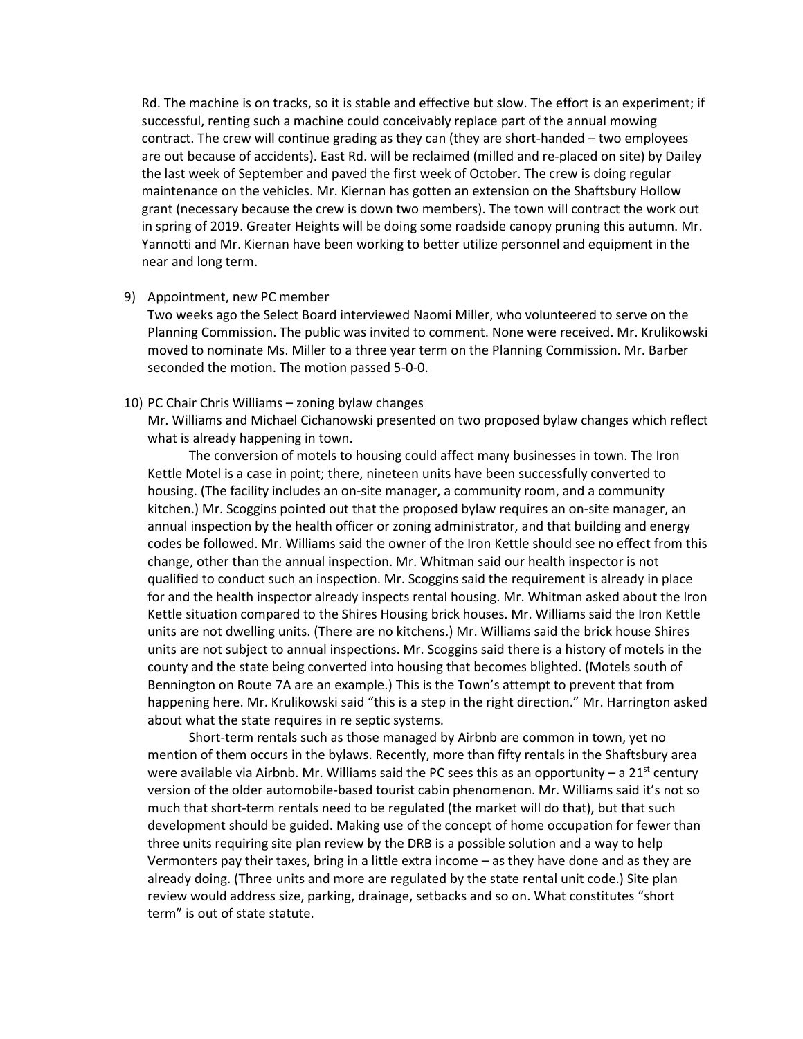Rd. The machine is on tracks, so it is stable and effective but slow. The effort is an experiment; if successful, renting such a machine could conceivably replace part of the annual mowing contract. The crew will continue grading as they can (they are short-handed – two employees are out because of accidents). East Rd. will be reclaimed (milled and re-placed on site) by Dailey the last week of September and paved the first week of October. The crew is doing regular maintenance on the vehicles. Mr. Kiernan has gotten an extension on the Shaftsbury Hollow grant (necessary because the crew is down two members). The town will contract the work out in spring of 2019. Greater Heights will be doing some roadside canopy pruning this autumn. Mr. Yannotti and Mr. Kiernan have been working to better utilize personnel and equipment in the near and long term.

#### 9) Appointment, new PC member

Two weeks ago the Select Board interviewed Naomi Miller, who volunteered to serve on the Planning Commission. The public was invited to comment. None were received. Mr. Krulikowski moved to nominate Ms. Miller to a three year term on the Planning Commission. Mr. Barber seconded the motion. The motion passed 5-0-0.

#### 10) PC Chair Chris Williams – zoning bylaw changes

Mr. Williams and Michael Cichanowski presented on two proposed bylaw changes which reflect what is already happening in town.

The conversion of motels to housing could affect many businesses in town. The Iron Kettle Motel is a case in point; there, nineteen units have been successfully converted to housing. (The facility includes an on-site manager, a community room, and a community kitchen.) Mr. Scoggins pointed out that the proposed bylaw requires an on-site manager, an annual inspection by the health officer or zoning administrator, and that building and energy codes be followed. Mr. Williams said the owner of the Iron Kettle should see no effect from this change, other than the annual inspection. Mr. Whitman said our health inspector is not qualified to conduct such an inspection. Mr. Scoggins said the requirement is already in place for and the health inspector already inspects rental housing. Mr. Whitman asked about the Iron Kettle situation compared to the Shires Housing brick houses. Mr. Williams said the Iron Kettle units are not dwelling units. (There are no kitchens.) Mr. Williams said the brick house Shires units are not subject to annual inspections. Mr. Scoggins said there is a history of motels in the county and the state being converted into housing that becomes blighted. (Motels south of Bennington on Route 7A are an example.) This is the Town's attempt to prevent that from happening here. Mr. Krulikowski said "this is a step in the right direction." Mr. Harrington asked about what the state requires in re septic systems.

Short-term rentals such as those managed by Airbnb are common in town, yet no mention of them occurs in the bylaws. Recently, more than fifty rentals in the Shaftsbury area were available via Airbnb. Mr. Williams said the PC sees this as an opportunity – a  $21^{st}$  century version of the older automobile-based tourist cabin phenomenon. Mr. Williams said it's not so much that short-term rentals need to be regulated (the market will do that), but that such development should be guided. Making use of the concept of home occupation for fewer than three units requiring site plan review by the DRB is a possible solution and a way to help Vermonters pay their taxes, bring in a little extra income – as they have done and as they are already doing. (Three units and more are regulated by the state rental unit code.) Site plan review would address size, parking, drainage, setbacks and so on. What constitutes "short term" is out of state statute.